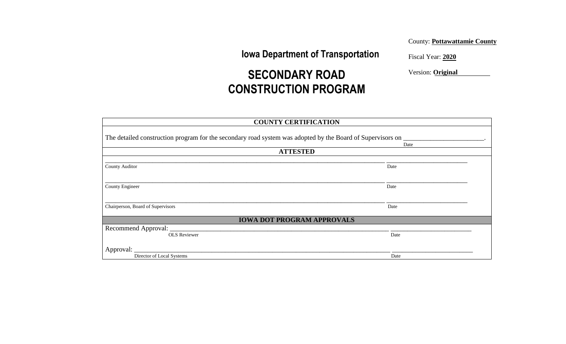**Iowa Department of Transportation**

County: **Pottawattamie County**

Fiscal Year: **2020** 

Version: **Original**

# **SECONDARY ROAD CONSTRUCTION PROGRAM**

|                                                                                                                | <b>COUNTY CERTIFICATION</b>       |  |
|----------------------------------------------------------------------------------------------------------------|-----------------------------------|--|
| The detailed construction program for the secondary road system was adopted by the Board of Supervisors on ___ | Date                              |  |
|                                                                                                                | <b>ATTESTED</b>                   |  |
| <b>County Auditor</b>                                                                                          | Date                              |  |
| County Engineer                                                                                                | Date                              |  |
| Chairperson, Board of Supervisors                                                                              | Date                              |  |
|                                                                                                                | <b>IOWA DOT PROGRAM APPROVALS</b> |  |
| Recommend Approval:                                                                                            |                                   |  |
| <b>OLS</b> Reviewer                                                                                            | Date                              |  |
| Approval:                                                                                                      |                                   |  |
| Director of Local Systems                                                                                      | Date                              |  |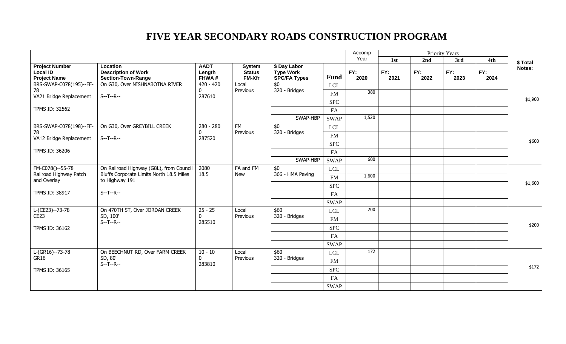|                                                                                        |                                                                     |                                |                                                 |                                                         |             | Accomp           | <b>Priority Years</b> |             |             |             |         |    |         |  |
|----------------------------------------------------------------------------------------|---------------------------------------------------------------------|--------------------------------|-------------------------------------------------|---------------------------------------------------------|-------------|------------------|-----------------------|-------------|-------------|-------------|---------|----|---------|--|
|                                                                                        |                                                                     |                                |                                                 |                                                         |             | Year             | 1st                   | 2nd         | 3rd         | 4th         | \$Total |    |         |  |
| <b>Project Number</b><br><b>Local ID</b><br><b>Project Name</b>                        | Location<br><b>Description of Work</b><br><b>Section-Town-Range</b> | <b>AADT</b><br>Length<br>FHWA# | <b>System</b><br><b>Status</b><br><b>FM-Xfr</b> | \$ Day Labor<br><b>Type Work</b><br><b>SPC/FA Types</b> | <b>Fund</b> | FY:<br>2020      | FY:<br>2021           | FY:<br>2022 | FY:<br>2023 | FY:<br>2024 | Notes:  |    |         |  |
| BRS-SWAP-C078(195)--FF-                                                                | On G30, Over NISHNABOTNA RIVER                                      | $420 - 420$                    | Local                                           | \$0                                                     | <b>LCL</b>  |                  |                       |             |             |             |         |    |         |  |
| 78<br>VA21 Bridge Replacement                                                          | $S - T - R -$                                                       | $\mathbf{0}$<br>287610         | Previous                                        | 320 - Bridges                                           | <b>FM</b>   | 380              |                       |             |             |             |         |    |         |  |
|                                                                                        |                                                                     |                                |                                                 |                                                         | <b>SPC</b>  |                  |                       |             |             |             | \$1,900 |    |         |  |
| TPMS ID: 32562                                                                         |                                                                     |                                |                                                 |                                                         | FA          |                  |                       |             |             |             |         |    |         |  |
|                                                                                        |                                                                     |                                |                                                 | SWAP-HBP                                                | <b>SWAP</b> | 1,520            |                       |             |             |             |         |    |         |  |
| BRS-SWAP-C078(198)--FF-                                                                | On G30, Over GREYBILL CREEK                                         | 280 - 280                      | <b>FM</b>                                       | \$0                                                     | <b>LCL</b>  |                  |                       |             |             |             |         |    |         |  |
| 78<br>VA12 Bridge Replacement                                                          | $S - T - R -$                                                       | $\mathbf{0}$                   | Previous<br>287520                              | 320 - Bridges                                           | <b>FM</b>   |                  |                       |             |             |             |         |    |         |  |
|                                                                                        |                                                                     |                                |                                                 |                                                         | <b>SPC</b>  |                  |                       |             |             |             | \$600   |    |         |  |
| TPMS ID: 36206                                                                         |                                                                     |                                |                                                 |                                                         | FA          |                  |                       |             |             |             |         |    |         |  |
|                                                                                        |                                                                     |                                |                                                 | SWAP-HBP                                                | <b>SWAP</b> | 600              |                       |             |             |             |         |    |         |  |
| FM-C078()--55-78<br>Railroad Highway Patch<br>Bluffs Corporate Limits North 18.5 Miles | On Railroad Highway (G8L), from Council                             | 2080                           | FA and FM                                       | \$0                                                     | <b>LCL</b>  |                  |                       |             |             |             |         |    |         |  |
|                                                                                        | 18.5                                                                | New                            | 366 - HMA Paving                                | <b>FM</b>                                               | 1,600       |                  |                       |             |             |             |         |    |         |  |
| and Overlay                                                                            | to Highway 191                                                      |                                |                                                 |                                                         |             |                  | <b>SPC</b>            |             |             |             |         |    | \$1,600 |  |
| TPMS ID: 38917                                                                         | $S - T - R -$                                                       |                                |                                                 |                                                         |             |                  |                       |             |             |             |         | FA |         |  |
|                                                                                        |                                                                     |                                |                                                 |                                                         | <b>SWAP</b> |                  |                       |             |             |             |         |    |         |  |
| L-(CE23)--73-78                                                                        | On 470TH ST, Over JORDAN CREEK                                      | $25 - 25$                      | Local                                           | \$60                                                    | <b>LCL</b>  | $\overline{200}$ |                       |             |             |             |         |    |         |  |
| CE <sub>23</sub>                                                                       | SD, 100'                                                            | 0                              | Previous                                        | 320 - Bridges                                           | FM          |                  |                       |             |             |             |         |    |         |  |
| TPMS ID: 36162                                                                         | $S - T - R -$                                                       | 285510                         |                                                 |                                                         | <b>SPC</b>  |                  |                       |             |             |             | \$200   |    |         |  |
|                                                                                        |                                                                     |                                |                                                 |                                                         | FA          |                  |                       |             |             |             |         |    |         |  |
|                                                                                        |                                                                     |                                |                                                 |                                                         | <b>SWAP</b> |                  |                       |             |             |             |         |    |         |  |
| L-(GR16)--73-78                                                                        | $10 - 10$<br>On BEECHNUT RD, Over FARM CREEK                        | Local                          | \$60                                            | <b>LCL</b>                                              | 172         |                  |                       |             |             |             |         |    |         |  |
| GR16                                                                                   | SD, 80'                                                             | $\mathbf{0}$<br>Previous       |                                                 | 320 - Bridges                                           | FM          |                  |                       |             |             |             |         |    |         |  |
| TPMS ID: 36165                                                                         | $S - T - R -$<br>283810                                             |                                |                                                 | <b>SPC</b>                                              |             |                  |                       |             |             | \$172       |         |    |         |  |
|                                                                                        |                                                                     |                                |                                                 | FA                                                      |             |                  |                       |             |             |             |         |    |         |  |
|                                                                                        |                                                                     |                                |                                                 |                                                         | <b>SWAP</b> |                  |                       |             |             |             |         |    |         |  |
|                                                                                        |                                                                     |                                |                                                 |                                                         |             |                  |                       |             |             |             |         |    |         |  |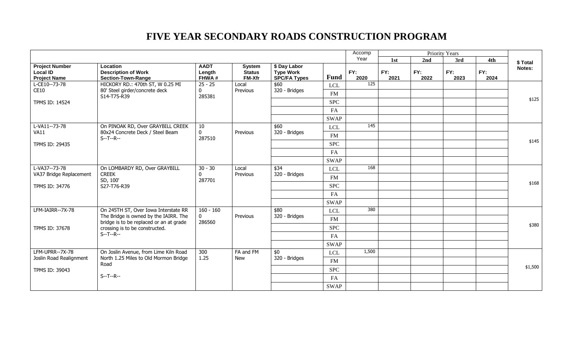|                                                                 |                                                                                |                                |                                                 |                                                         |              | Accomp      | <b>Priority Years</b> |             |             |             |         |
|-----------------------------------------------------------------|--------------------------------------------------------------------------------|--------------------------------|-------------------------------------------------|---------------------------------------------------------|--------------|-------------|-----------------------|-------------|-------------|-------------|---------|
|                                                                 |                                                                                |                                |                                                 |                                                         |              | Year        | 1st                   | 2nd         | 3rd         | 4th         | \$Total |
| <b>Project Number</b><br><b>Local ID</b><br><b>Project Name</b> | Location<br><b>Description of Work</b><br><b>Section-Town-Range</b>            | <b>AADT</b><br>Length<br>FHWA# | <b>System</b><br><b>Status</b><br><b>FM-Xfr</b> | \$ Day Labor<br><b>Type Work</b><br><b>SPC/FA Types</b> | <b>Fund</b>  | FY:<br>2020 | FY:<br>2021           | FY:<br>2022 | FY:<br>2023 | FY:<br>2024 | Notes:  |
| L-CE10--73-78                                                   | HICKORY RD.: 470th ST, W 0.25 MI                                               | $25 - 25$                      | Local                                           | \$60                                                    | <b>LCL</b>   | 125         |                       |             |             |             |         |
| CE10                                                            | 80' Steel girder/concrete deck<br>S14-T75-R39                                  | $\mathbf{0}$<br>285381         | Previous                                        | 320 - Bridges                                           | <b>FM</b>    |             |                       |             |             |             |         |
| <b>TPMS ID: 14524</b>                                           |                                                                                |                                |                                                 |                                                         | <b>SPC</b>   |             |                       |             |             |             | \$125   |
|                                                                 |                                                                                |                                |                                                 |                                                         | FA           |             |                       |             |             |             |         |
|                                                                 |                                                                                |                                |                                                 |                                                         | <b>SWAP</b>  |             |                       |             |             |             |         |
| L-VA11--73-78                                                   | On PINOAK RD, Over GRAYBILL CREEK                                              | 10                             |                                                 | \$60                                                    | <b>LCL</b>   | 145         |                       |             |             |             |         |
| <b>VA11</b>                                                     | 80x24 Concrete Deck / Steel Beam                                               | $\mathbf 0$                    | Previous                                        | 320 - Bridges                                           | <b>FM</b>    |             |                       |             |             |             |         |
| TPMS ID: 29435                                                  | $S-T-P-$                                                                       | 287510                         |                                                 |                                                         | <b>SPC</b>   |             |                       |             |             |             | \$145   |
|                                                                 |                                                                                |                                |                                                 |                                                         | FA           |             |                       |             |             |             |         |
|                                                                 |                                                                                |                                |                                                 |                                                         | <b>SWAP</b>  |             |                       |             |             |             |         |
| L-VA37--73-78                                                   | On LOMBARDY RD, Over GRAYBILL                                                  | $30 - 30$                      | Local<br>Previous                               | \$34                                                    | <b>LCL</b>   | 168         |                       |             |             |             |         |
| VA37 Bridge Replacement<br><b>CREEK</b>                         |                                                                                | $\mathbf{0}$                   |                                                 | 320 - Bridges                                           | FM           |             |                       |             |             |             |         |
| TPMS ID: 34776                                                  | SD, 100'<br>S27-T76-R39                                                        | 287701                         |                                                 |                                                         | <b>SPC</b>   |             |                       |             |             |             | \$168   |
|                                                                 |                                                                                |                                |                                                 |                                                         | FA           |             |                       |             |             |             |         |
|                                                                 |                                                                                |                                |                                                 |                                                         | <b>SWAP</b>  |             |                       |             |             |             |         |
| LFM-IAIRR--7X-78                                                | On 245TH ST, Over Iowa Interstate RR                                           | $160 - 160$                    |                                                 | \$80                                                    |              | 380         |                       |             |             |             |         |
|                                                                 | The Bridge is owned by the IAIRR. The                                          | $\mathbf{0}$                   | Previous                                        | 320 - Bridges                                           | $_{\rm LCL}$ |             |                       |             |             |             |         |
|                                                                 | bridge is to be replaced or an at grade                                        | 286560                         |                                                 |                                                         | <b>FM</b>    |             |                       |             |             |             | \$380   |
| TPMS ID: 37678                                                  | crossing is to be constructed.<br>$S-T-P-$                                     |                                |                                                 |                                                         | <b>SPC</b>   |             |                       |             |             |             |         |
|                                                                 |                                                                                |                                |                                                 |                                                         | FA           |             |                       |             |             |             |         |
|                                                                 |                                                                                |                                |                                                 |                                                         | <b>SWAP</b>  |             |                       |             |             |             |         |
| LFM-UPRR--7X-78<br>Joslin Road Realignment                      | On Joslin Avenue, from Lime Kiln Road<br>North 1.25 Miles to Old Mormon Bridge | 300<br>1.25                    | FA and FM<br><b>New</b>                         | $\overline{50}$<br>320 - Bridges                        | LCL          | 1,500       |                       |             |             |             |         |
|                                                                 | Road                                                                           |                                |                                                 |                                                         | <b>FM</b>    |             |                       |             |             |             | \$1,500 |
| TPMS ID: 39043                                                  |                                                                                |                                |                                                 |                                                         | <b>SPC</b>   |             |                       |             |             |             |         |
|                                                                 | $S - T - R -$                                                                  |                                |                                                 |                                                         | FA           |             |                       |             |             |             |         |
|                                                                 |                                                                                |                                |                                                 |                                                         | <b>SWAP</b>  |             |                       |             |             |             |         |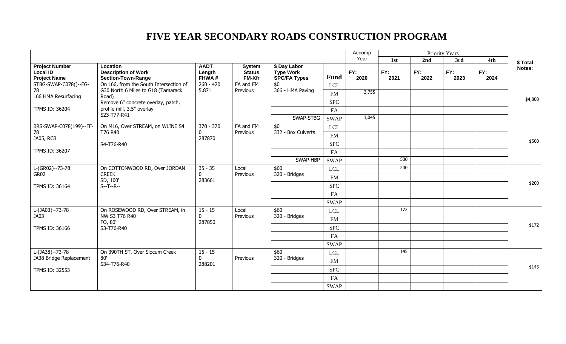|                                                                 |                                                                     |                                |                                          |                                                         |             | Accomp      | <b>Priority Years</b> |             |             |             |         |  |       |  |  |  |  |  |  |  |  |  |  |            |  |  |  |  |  |  |
|-----------------------------------------------------------------|---------------------------------------------------------------------|--------------------------------|------------------------------------------|---------------------------------------------------------|-------------|-------------|-----------------------|-------------|-------------|-------------|---------|--|-------|--|--|--|--|--|--|--|--|--|--|------------|--|--|--|--|--|--|
|                                                                 |                                                                     |                                |                                          |                                                         |             | Year        | 1st                   | 2nd         | 3rd         | 4th         | \$Total |  |       |  |  |  |  |  |  |  |  |  |  |            |  |  |  |  |  |  |
| <b>Project Number</b><br><b>Local ID</b><br><b>Project Name</b> | Location<br><b>Description of Work</b><br><b>Section-Town-Range</b> | <b>AADT</b><br>Length<br>FHWA# | <b>System</b><br><b>Status</b><br>FM-Xfr | \$ Day Labor<br><b>Type Work</b><br><b>SPC/FA Types</b> | <b>Fund</b> | FY:<br>2020 | FY:<br>2021           | FY:<br>2022 | FY:<br>2023 | FY:<br>2024 | Notes:  |  |       |  |  |  |  |  |  |  |  |  |  |            |  |  |  |  |  |  |
| STBG-SWAP-C078()--FG-                                           | On L66, from the South Intersection of                              | $260 - 420$                    | FA and FM                                | \$0                                                     | <b>LCL</b>  |             |                       |             |             |             |         |  |       |  |  |  |  |  |  |  |  |  |  |            |  |  |  |  |  |  |
| 78<br>L66 HMA Resurfacing                                       | G30 North 6 Miles to G18 (Tamarack<br>Road)                         | 5.871                          | Previous                                 | 366 - HMA Paving                                        | <b>FM</b>   | 3,755       |                       |             |             |             |         |  |       |  |  |  |  |  |  |  |  |  |  |            |  |  |  |  |  |  |
|                                                                 | Remove 6" concrete overlay, patch,                                  |                                |                                          |                                                         | <b>SPC</b>  |             |                       |             |             |             | \$4,800 |  |       |  |  |  |  |  |  |  |  |  |  |            |  |  |  |  |  |  |
| <b>TPMS ID: 36204</b>                                           | profile mill, 3.5" overlay                                          |                                |                                          |                                                         | FA          |             |                       |             |             |             |         |  |       |  |  |  |  |  |  |  |  |  |  |            |  |  |  |  |  |  |
|                                                                 | S23-T77-R41                                                         |                                |                                          | SWAP-STBG                                               | <b>SWAP</b> | 1,045       |                       |             |             |             |         |  |       |  |  |  |  |  |  |  |  |  |  |            |  |  |  |  |  |  |
| BRS-SWAP-C078(199)--FF-                                         | On M16, Over STREAM, on WLINE S4                                    | 370 - 370                      | FA and FM                                | \$0                                                     | <b>LCL</b>  |             |                       |             |             |             |         |  |       |  |  |  |  |  |  |  |  |  |  |            |  |  |  |  |  |  |
| 78                                                              | T76 R40                                                             | $\mathbf{0}$<br>287870         | Previous                                 | 332 - Box Culverts                                      | <b>FM</b>   |             |                       |             |             |             |         |  |       |  |  |  |  |  |  |  |  |  |  |            |  |  |  |  |  |  |
| JA05, RCB                                                       | S4-T76-R40                                                          |                                |                                          |                                                         | <b>SPC</b>  |             |                       |             |             |             | \$500   |  |       |  |  |  |  |  |  |  |  |  |  |            |  |  |  |  |  |  |
| TPMS ID: 36207                                                  |                                                                     |                                |                                          |                                                         | FA          |             |                       |             |             |             |         |  |       |  |  |  |  |  |  |  |  |  |  |            |  |  |  |  |  |  |
|                                                                 |                                                                     |                                |                                          | SWAP-HBP                                                | <b>SWAP</b> |             | 500                   |             |             |             |         |  |       |  |  |  |  |  |  |  |  |  |  |            |  |  |  |  |  |  |
| L-(GR02)--73-78                                                 | On COTTONWOOD RD, Over JORDAN                                       | $35 - 35$                      | Local                                    | \$60                                                    | <b>LCL</b>  |             | 200                   |             |             |             |         |  |       |  |  |  |  |  |  |  |  |  |  |            |  |  |  |  |  |  |
| <b>CREEK</b><br>GR02                                            | $\mathbf{0}$                                                        | Previous                       | 320 - Bridges                            | <b>FM</b>                                               |             |             |                       |             |             |             |         |  |       |  |  |  |  |  |  |  |  |  |  |            |  |  |  |  |  |  |
| TPMS ID: 36164                                                  | SD, 100'<br>$S - T - R -$                                           | 283661                         |                                          |                                                         |             |             | <b>SPC</b>            |             |             |             |         |  | \$200 |  |  |  |  |  |  |  |  |  |  |            |  |  |  |  |  |  |
|                                                                 |                                                                     |                                |                                          |                                                         | FA          |             |                       |             |             |             |         |  |       |  |  |  |  |  |  |  |  |  |  |            |  |  |  |  |  |  |
|                                                                 |                                                                     |                                |                                          |                                                         | <b>SWAP</b> |             |                       |             |             |             |         |  |       |  |  |  |  |  |  |  |  |  |  |            |  |  |  |  |  |  |
| L-(JA03)--73-78                                                 | On ROSEWOOD RD, Over STREAM, in                                     | $15 - 15$                      | Local                                    | \$60                                                    | <b>LCL</b>  |             | 172                   |             |             |             |         |  |       |  |  |  |  |  |  |  |  |  |  |            |  |  |  |  |  |  |
| JA03                                                            | NW S3 T76 R40                                                       | $\mathbf 0$                    | Previous                                 | 320 - Bridges                                           | <b>FM</b>   |             |                       |             |             |             |         |  |       |  |  |  |  |  |  |  |  |  |  |            |  |  |  |  |  |  |
|                                                                 | FO, 80'                                                             | 287850                         |                                          |                                                         | <b>SPC</b>  |             |                       |             |             |             | \$172   |  |       |  |  |  |  |  |  |  |  |  |  |            |  |  |  |  |  |  |
| TPMS ID: 36166                                                  | S3-T76-R40                                                          |                                |                                          |                                                         | FA          |             |                       |             |             |             |         |  |       |  |  |  |  |  |  |  |  |  |  |            |  |  |  |  |  |  |
|                                                                 |                                                                     |                                |                                          |                                                         |             |             |                       |             |             |             |         |  |       |  |  |  |  |  |  |  |  |  |  |            |  |  |  |  |  |  |
| L-(JA38)--73-78                                                 | On 390TH ST, Over Slocum Creek                                      |                                |                                          | \$60                                                    | <b>SWAP</b> |             | 145                   |             |             |             |         |  |       |  |  |  |  |  |  |  |  |  |  |            |  |  |  |  |  |  |
| JA38 Bridge Replacement                                         | 80'                                                                 | $15 - 15$<br>$\mathbf{0}$      | Previous                                 | 320 - Bridges                                           | <b>LCL</b>  |             |                       |             |             |             |         |  |       |  |  |  |  |  |  |  |  |  |  |            |  |  |  |  |  |  |
| S34-T76-R40                                                     | 288201                                                              |                                |                                          | FM                                                      |             |             |                       |             |             | \$145       |         |  |       |  |  |  |  |  |  |  |  |  |  |            |  |  |  |  |  |  |
| TPMS ID: 32553                                                  |                                                                     |                                |                                          |                                                         |             |             |                       |             |             |             |         |  |       |  |  |  |  |  |  |  |  |  |  | <b>SPC</b> |  |  |  |  |  |  |
|                                                                 |                                                                     |                                |                                          |                                                         | FA          |             |                       |             |             |             |         |  |       |  |  |  |  |  |  |  |  |  |  |            |  |  |  |  |  |  |
|                                                                 |                                                                     |                                |                                          |                                                         | <b>SWAP</b> |             |                       |             |             |             |         |  |       |  |  |  |  |  |  |  |  |  |  |            |  |  |  |  |  |  |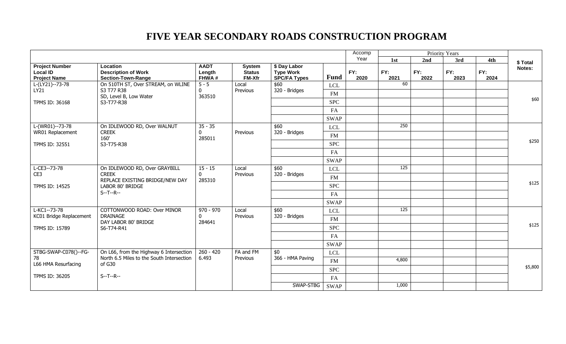| Year<br>1st<br>2nd<br>3rd<br>4th<br>\$ Total<br><b>Project Number</b><br>Location<br><b>AADT</b><br>\$ Day Labor<br><b>System</b><br>Notes:<br>FY:<br>FY:<br>FY:<br>Local ID<br><b>Description of Work</b><br><b>Type Work</b><br>FY:<br>FY:<br>Length<br><b>Status</b><br><b>Fund</b><br>FHWA#<br>FM-Xfr<br><b>SPC/FA Types</b><br>2020<br>2021<br>2022<br><b>Project Name</b><br><b>Section-Town-Range</b><br>2023<br>2024<br>60<br>On 510TH ST, Over STREAM, on WLINE<br>$5 - 5$<br>L-(LY21)--73-78<br>Local<br>\$60<br><b>LCL</b><br>320 - Bridges<br>LY21<br>S3 T77 R38<br>Previous<br>0<br><b>FM</b><br>SD, Level B, Low Water<br>363510<br><b>SPC</b><br><b>TPMS ID: 36168</b><br>S3-T77-R38<br>FA<br><b>SWAP</b><br>250<br>L-(WR01)--73-78<br>$35 - 35$<br>On IDLEWOOD RD, Over WALNUT<br>\$60<br><b>LCL</b><br>320 - Bridges<br>$\mathbf 0$<br>WR01 Replacement<br><b>CREEK</b><br>Previous<br>FM<br>160'<br>285011<br><b>SPC</b><br>TPMS ID: 32551<br>S3-T75-R38<br>FA<br><b>SWAP</b><br>125<br>L-CE3--73-78<br>On IDLEWOOD RD, Over GRAYBILL<br>$15 - 15$<br>\$60<br>Local<br><b>LCL</b><br><b>CREEK</b><br>$\mathbf{0}$<br>320 - Bridges<br>CE3<br>Previous<br><b>FM</b><br>REPLACE EXISTING BRIDGE/NEW DAY<br>285310<br><b>SPC</b><br><b>TPMS ID: 14525</b><br>LABOR 80' BRIDGE<br>$S - T - R -$<br>FA<br><b>SWAP</b><br>$L-KC1 - 73 - 78$<br>125<br>COTTONWOOD ROAD: Over MINOR<br>$970 - 970$<br>\$60<br>Local<br><b>LCL</b><br>KC01 Bridge Replacement<br><b>DRAINAGE</b><br>320 - Bridges<br>$\mathbf{0}$<br>Previous<br><b>FM</b><br>DAY LABOR 80' BRIDGE<br>284641<br>\$125<br><b>SPC</b><br>TPMS ID: 15789<br>S6-T74-R41<br>FA<br><b>SWAP</b><br>$\overline{50}$<br>STBG-SWAP-C078()--FG-<br>On L66, from the Highway 6 Intersection<br>$260 - 420$<br>FA and FM<br><b>LCL</b><br>78<br>North 6.5 Miles to the South Intersection<br>6.493<br>Previous<br>366 - HMA Paving<br>4,800<br>FM<br>L66 HMA Resurfacing<br>of G30<br><b>SPC</b><br>$S - T - R -$<br>TPMS ID: 36205<br>FA |  |  |  |  |  | Accomp | Priority Years |  |  |  |  |  |  |  |  |  |  |  |  |
|-------------------------------------------------------------------------------------------------------------------------------------------------------------------------------------------------------------------------------------------------------------------------------------------------------------------------------------------------------------------------------------------------------------------------------------------------------------------------------------------------------------------------------------------------------------------------------------------------------------------------------------------------------------------------------------------------------------------------------------------------------------------------------------------------------------------------------------------------------------------------------------------------------------------------------------------------------------------------------------------------------------------------------------------------------------------------------------------------------------------------------------------------------------------------------------------------------------------------------------------------------------------------------------------------------------------------------------------------------------------------------------------------------------------------------------------------------------------------------------------------------------------------------------------------------------------------------------------------------------------------------------------------------------------------------------------------------------------------------------------------------------------------------------------------------------------------------------------------------------------------------------------------------------------------------------------------------------------------------------------------------|--|--|--|--|--|--------|----------------|--|--|--|--|--|--|--|--|--|--|--|--|
| \$60<br>\$250<br>\$125<br>\$5,800                                                                                                                                                                                                                                                                                                                                                                                                                                                                                                                                                                                                                                                                                                                                                                                                                                                                                                                                                                                                                                                                                                                                                                                                                                                                                                                                                                                                                                                                                                                                                                                                                                                                                                                                                                                                                                                                                                                                                                     |  |  |  |  |  |        |                |  |  |  |  |  |  |  |  |  |  |  |  |
|                                                                                                                                                                                                                                                                                                                                                                                                                                                                                                                                                                                                                                                                                                                                                                                                                                                                                                                                                                                                                                                                                                                                                                                                                                                                                                                                                                                                                                                                                                                                                                                                                                                                                                                                                                                                                                                                                                                                                                                                       |  |  |  |  |  |        |                |  |  |  |  |  |  |  |  |  |  |  |  |
|                                                                                                                                                                                                                                                                                                                                                                                                                                                                                                                                                                                                                                                                                                                                                                                                                                                                                                                                                                                                                                                                                                                                                                                                                                                                                                                                                                                                                                                                                                                                                                                                                                                                                                                                                                                                                                                                                                                                                                                                       |  |  |  |  |  |        |                |  |  |  |  |  |  |  |  |  |  |  |  |
|                                                                                                                                                                                                                                                                                                                                                                                                                                                                                                                                                                                                                                                                                                                                                                                                                                                                                                                                                                                                                                                                                                                                                                                                                                                                                                                                                                                                                                                                                                                                                                                                                                                                                                                                                                                                                                                                                                                                                                                                       |  |  |  |  |  |        |                |  |  |  |  |  |  |  |  |  |  |  |  |
|                                                                                                                                                                                                                                                                                                                                                                                                                                                                                                                                                                                                                                                                                                                                                                                                                                                                                                                                                                                                                                                                                                                                                                                                                                                                                                                                                                                                                                                                                                                                                                                                                                                                                                                                                                                                                                                                                                                                                                                                       |  |  |  |  |  |        |                |  |  |  |  |  |  |  |  |  |  |  |  |
|                                                                                                                                                                                                                                                                                                                                                                                                                                                                                                                                                                                                                                                                                                                                                                                                                                                                                                                                                                                                                                                                                                                                                                                                                                                                                                                                                                                                                                                                                                                                                                                                                                                                                                                                                                                                                                                                                                                                                                                                       |  |  |  |  |  |        |                |  |  |  |  |  |  |  |  |  |  |  |  |
|                                                                                                                                                                                                                                                                                                                                                                                                                                                                                                                                                                                                                                                                                                                                                                                                                                                                                                                                                                                                                                                                                                                                                                                                                                                                                                                                                                                                                                                                                                                                                                                                                                                                                                                                                                                                                                                                                                                                                                                                       |  |  |  |  |  |        |                |  |  |  |  |  |  |  |  |  |  |  |  |
|                                                                                                                                                                                                                                                                                                                                                                                                                                                                                                                                                                                                                                                                                                                                                                                                                                                                                                                                                                                                                                                                                                                                                                                                                                                                                                                                                                                                                                                                                                                                                                                                                                                                                                                                                                                                                                                                                                                                                                                                       |  |  |  |  |  |        |                |  |  |  |  |  |  |  |  |  |  |  |  |
|                                                                                                                                                                                                                                                                                                                                                                                                                                                                                                                                                                                                                                                                                                                                                                                                                                                                                                                                                                                                                                                                                                                                                                                                                                                                                                                                                                                                                                                                                                                                                                                                                                                                                                                                                                                                                                                                                                                                                                                                       |  |  |  |  |  |        |                |  |  |  |  |  |  |  |  |  |  |  |  |
|                                                                                                                                                                                                                                                                                                                                                                                                                                                                                                                                                                                                                                                                                                                                                                                                                                                                                                                                                                                                                                                                                                                                                                                                                                                                                                                                                                                                                                                                                                                                                                                                                                                                                                                                                                                                                                                                                                                                                                                                       |  |  |  |  |  |        |                |  |  |  |  |  |  |  |  |  |  |  |  |
|                                                                                                                                                                                                                                                                                                                                                                                                                                                                                                                                                                                                                                                                                                                                                                                                                                                                                                                                                                                                                                                                                                                                                                                                                                                                                                                                                                                                                                                                                                                                                                                                                                                                                                                                                                                                                                                                                                                                                                                                       |  |  |  |  |  |        |                |  |  |  |  |  |  |  |  |  |  |  |  |
|                                                                                                                                                                                                                                                                                                                                                                                                                                                                                                                                                                                                                                                                                                                                                                                                                                                                                                                                                                                                                                                                                                                                                                                                                                                                                                                                                                                                                                                                                                                                                                                                                                                                                                                                                                                                                                                                                                                                                                                                       |  |  |  |  |  |        |                |  |  |  |  |  |  |  |  |  |  |  |  |
|                                                                                                                                                                                                                                                                                                                                                                                                                                                                                                                                                                                                                                                                                                                                                                                                                                                                                                                                                                                                                                                                                                                                                                                                                                                                                                                                                                                                                                                                                                                                                                                                                                                                                                                                                                                                                                                                                                                                                                                                       |  |  |  |  |  |        |                |  |  |  |  |  |  |  |  |  |  |  |  |
|                                                                                                                                                                                                                                                                                                                                                                                                                                                                                                                                                                                                                                                                                                                                                                                                                                                                                                                                                                                                                                                                                                                                                                                                                                                                                                                                                                                                                                                                                                                                                                                                                                                                                                                                                                                                                                                                                                                                                                                                       |  |  |  |  |  |        |                |  |  |  |  |  |  |  |  |  |  |  |  |
|                                                                                                                                                                                                                                                                                                                                                                                                                                                                                                                                                                                                                                                                                                                                                                                                                                                                                                                                                                                                                                                                                                                                                                                                                                                                                                                                                                                                                                                                                                                                                                                                                                                                                                                                                                                                                                                                                                                                                                                                       |  |  |  |  |  |        |                |  |  |  |  |  |  |  |  |  |  |  |  |
|                                                                                                                                                                                                                                                                                                                                                                                                                                                                                                                                                                                                                                                                                                                                                                                                                                                                                                                                                                                                                                                                                                                                                                                                                                                                                                                                                                                                                                                                                                                                                                                                                                                                                                                                                                                                                                                                                                                                                                                                       |  |  |  |  |  |        |                |  |  |  |  |  |  |  |  |  |  |  |  |
|                                                                                                                                                                                                                                                                                                                                                                                                                                                                                                                                                                                                                                                                                                                                                                                                                                                                                                                                                                                                                                                                                                                                                                                                                                                                                                                                                                                                                                                                                                                                                                                                                                                                                                                                                                                                                                                                                                                                                                                                       |  |  |  |  |  |        |                |  |  |  |  |  |  |  |  |  |  |  |  |
|                                                                                                                                                                                                                                                                                                                                                                                                                                                                                                                                                                                                                                                                                                                                                                                                                                                                                                                                                                                                                                                                                                                                                                                                                                                                                                                                                                                                                                                                                                                                                                                                                                                                                                                                                                                                                                                                                                                                                                                                       |  |  |  |  |  |        |                |  |  |  |  |  |  |  |  |  |  |  |  |
|                                                                                                                                                                                                                                                                                                                                                                                                                                                                                                                                                                                                                                                                                                                                                                                                                                                                                                                                                                                                                                                                                                                                                                                                                                                                                                                                                                                                                                                                                                                                                                                                                                                                                                                                                                                                                                                                                                                                                                                                       |  |  |  |  |  |        |                |  |  |  |  |  |  |  |  |  |  |  |  |
|                                                                                                                                                                                                                                                                                                                                                                                                                                                                                                                                                                                                                                                                                                                                                                                                                                                                                                                                                                                                                                                                                                                                                                                                                                                                                                                                                                                                                                                                                                                                                                                                                                                                                                                                                                                                                                                                                                                                                                                                       |  |  |  |  |  |        |                |  |  |  |  |  |  |  |  |  |  |  |  |
|                                                                                                                                                                                                                                                                                                                                                                                                                                                                                                                                                                                                                                                                                                                                                                                                                                                                                                                                                                                                                                                                                                                                                                                                                                                                                                                                                                                                                                                                                                                                                                                                                                                                                                                                                                                                                                                                                                                                                                                                       |  |  |  |  |  |        |                |  |  |  |  |  |  |  |  |  |  |  |  |
|                                                                                                                                                                                                                                                                                                                                                                                                                                                                                                                                                                                                                                                                                                                                                                                                                                                                                                                                                                                                                                                                                                                                                                                                                                                                                                                                                                                                                                                                                                                                                                                                                                                                                                                                                                                                                                                                                                                                                                                                       |  |  |  |  |  |        |                |  |  |  |  |  |  |  |  |  |  |  |  |
|                                                                                                                                                                                                                                                                                                                                                                                                                                                                                                                                                                                                                                                                                                                                                                                                                                                                                                                                                                                                                                                                                                                                                                                                                                                                                                                                                                                                                                                                                                                                                                                                                                                                                                                                                                                                                                                                                                                                                                                                       |  |  |  |  |  |        |                |  |  |  |  |  |  |  |  |  |  |  |  |
|                                                                                                                                                                                                                                                                                                                                                                                                                                                                                                                                                                                                                                                                                                                                                                                                                                                                                                                                                                                                                                                                                                                                                                                                                                                                                                                                                                                                                                                                                                                                                                                                                                                                                                                                                                                                                                                                                                                                                                                                       |  |  |  |  |  |        |                |  |  |  |  |  |  |  |  |  |  |  |  |
|                                                                                                                                                                                                                                                                                                                                                                                                                                                                                                                                                                                                                                                                                                                                                                                                                                                                                                                                                                                                                                                                                                                                                                                                                                                                                                                                                                                                                                                                                                                                                                                                                                                                                                                                                                                                                                                                                                                                                                                                       |  |  |  |  |  |        |                |  |  |  |  |  |  |  |  |  |  |  |  |
|                                                                                                                                                                                                                                                                                                                                                                                                                                                                                                                                                                                                                                                                                                                                                                                                                                                                                                                                                                                                                                                                                                                                                                                                                                                                                                                                                                                                                                                                                                                                                                                                                                                                                                                                                                                                                                                                                                                                                                                                       |  |  |  |  |  |        |                |  |  |  |  |  |  |  |  |  |  |  |  |
| SWAP-STBG<br>1,000<br><b>SWAP</b>                                                                                                                                                                                                                                                                                                                                                                                                                                                                                                                                                                                                                                                                                                                                                                                                                                                                                                                                                                                                                                                                                                                                                                                                                                                                                                                                                                                                                                                                                                                                                                                                                                                                                                                                                                                                                                                                                                                                                                     |  |  |  |  |  |        |                |  |  |  |  |  |  |  |  |  |  |  |  |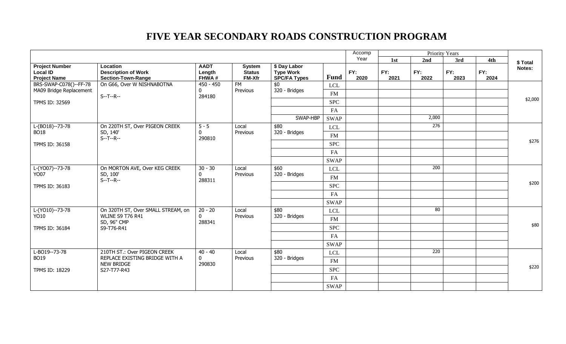|                                                                     |                                                                     |                                |                                          |                                                         |               | Accomp      | Priority Years |             |             |             |          |       |            |  |    |  |  |  |      |  |  |
|---------------------------------------------------------------------|---------------------------------------------------------------------|--------------------------------|------------------------------------------|---------------------------------------------------------|---------------|-------------|----------------|-------------|-------------|-------------|----------|-------|------------|--|----|--|--|--|------|--|--|
|                                                                     |                                                                     |                                |                                          |                                                         |               | Year        | 1st            | 2nd         | 3rd         | 4th         | \$ Total |       |            |  |    |  |  |  |      |  |  |
| <b>Project Number</b><br><b>Local ID</b><br><b>Project Name</b>     | Location<br><b>Description of Work</b><br><b>Section-Town-Range</b> | <b>AADT</b><br>Length<br>FHWA# | <b>System</b><br><b>Status</b><br>FM-Xfr | \$ Day Labor<br><b>Type Work</b><br><b>SPC/FA Types</b> | <b>Fund</b>   | FY:<br>2020 | FY:<br>2021    | FY:<br>2022 | FY:<br>2023 | FY:<br>2024 | Notes:   |       |            |  |    |  |  |  |      |  |  |
| BRS-SWAP-C078()--FF-78                                              | On G66, Over W NISHNABOTNA                                          | $450 - 450$                    | <b>FM</b>                                | \$0                                                     | <b>LCL</b>    |             |                |             |             |             |          |       |            |  |    |  |  |  |      |  |  |
| MA09 Bridge Replacement                                             | $S - T - R -$                                                       | $\mathbf{0}$<br>284180         | Previous                                 | 320 - Bridges                                           | <b>FM</b>     |             |                |             |             |             |          |       |            |  |    |  |  |  |      |  |  |
| TPMS ID: 32569                                                      |                                                                     |                                |                                          |                                                         | <b>SPC</b>    |             |                |             |             |             | \$2,000  |       |            |  |    |  |  |  |      |  |  |
|                                                                     |                                                                     |                                |                                          |                                                         | FA            |             |                |             |             |             |          |       |            |  |    |  |  |  |      |  |  |
|                                                                     |                                                                     |                                |                                          | SWAP-HBP                                                | <b>SWAP</b>   |             |                | 2,000       |             |             |          |       |            |  |    |  |  |  |      |  |  |
| $L-(BO18)-73-78$                                                    | On 220TH ST, Over PIGEON CREEK                                      | $5 - 5$                        | Local                                    | \$80                                                    | $_{\rm LCL}$  |             |                | 276         |             |             |          |       |            |  |    |  |  |  |      |  |  |
| <b>BO18</b>                                                         | SD, 140'<br>$S - T - R -$                                           | 0<br>290810                    | Previous                                 | 320 - Bridges                                           | <b>FM</b>     |             |                |             |             |             |          |       |            |  |    |  |  |  |      |  |  |
| TPMS ID: 36158                                                      |                                                                     |                                |                                          |                                                         |               | <b>SPC</b>  |                |             |             |             |          | \$276 |            |  |    |  |  |  |      |  |  |
|                                                                     |                                                                     |                                |                                          |                                                         |               |             |                |             |             |             |          |       |            |  | FA |  |  |  |      |  |  |
|                                                                     |                                                                     |                                |                                          | <b>SWAP</b>                                             |               |             |                |             |             |             |          |       |            |  |    |  |  |  |      |  |  |
| L-(YO07)--73-78                                                     | On MORTON AVE, Over KEG CREEK                                       | $30 - 30$                      | Local<br>Previous                        | \$60                                                    | <b>LCL</b>    |             |                | 200         |             |             |          |       |            |  |    |  |  |  |      |  |  |
| <b>YO07</b>                                                         | SD, 100'<br>$S - T - R -$                                           | 0<br>288311                    |                                          |                                                         | 320 - Bridges | FM          |                |             |             |             |          |       |            |  |    |  |  |  |      |  |  |
| <b>TPMS ID: 36183</b>                                               |                                                                     |                                |                                          |                                                         | <b>SPC</b>    |             |                |             |             |             | \$200    |       |            |  |    |  |  |  |      |  |  |
|                                                                     |                                                                     |                                |                                          |                                                         | FA            |             |                |             |             |             |          |       |            |  |    |  |  |  |      |  |  |
|                                                                     |                                                                     |                                |                                          |                                                         | <b>SWAP</b>   |             |                |             |             |             |          |       |            |  |    |  |  |  |      |  |  |
| L-(YO10)--73-78                                                     | On 320TH ST, Over SMALL STREAM, on                                  | $20 - 20$                      | Local                                    | \$80                                                    | <b>LCL</b>    |             |                | 80          |             |             |          |       |            |  |    |  |  |  |      |  |  |
| YO10                                                                | <b>WLINE S9 T76 R41</b><br>SD, 96" CMP                              | $\mathbf{0}$                   | Previous                                 | 320 - Bridges                                           | FM            |             |                |             |             |             |          |       |            |  |    |  |  |  |      |  |  |
| TPMS ID: 36184                                                      | S9-T76-R41                                                          |                                |                                          |                                                         | 288341        |             |                |             |             |             |          |       | <b>SPC</b> |  |    |  |  |  | \$80 |  |  |
|                                                                     |                                                                     |                                |                                          |                                                         | FA            |             |                |             |             |             |          |       |            |  |    |  |  |  |      |  |  |
|                                                                     |                                                                     |                                |                                          |                                                         | <b>SWAP</b>   |             |                |             |             |             |          |       |            |  |    |  |  |  |      |  |  |
| L-BO19--73-78                                                       | 210TH ST.: Over PIGEON CREEK                                        | $40 - 40$                      | Local                                    | \$80                                                    | <b>LCL</b>    |             |                | 220         |             |             |          |       |            |  |    |  |  |  |      |  |  |
| <b>BO19</b>                                                         | REPLACE EXISTING BRIDGE WITH A                                      | $\mathbf 0$                    | Previous                                 | 320 - Bridges                                           | FM            |             |                |             |             |             |          |       |            |  |    |  |  |  |      |  |  |
| <b>NEW BRIDGE</b><br>290830<br><b>TPMS ID: 18229</b><br>S27-T77-R43 |                                                                     |                                | <b>SPC</b>                               |                                                         |               |             |                |             | \$220       |             |          |       |            |  |    |  |  |  |      |  |  |
|                                                                     |                                                                     |                                |                                          |                                                         | FA            |             |                |             |             |             |          |       |            |  |    |  |  |  |      |  |  |
|                                                                     |                                                                     |                                |                                          |                                                         | <b>SWAP</b>   |             |                |             |             |             |          |       |            |  |    |  |  |  |      |  |  |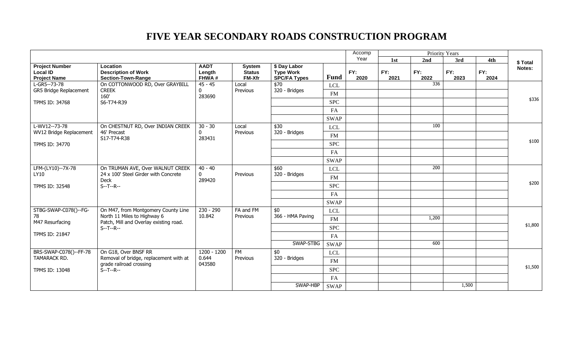|                                                                 |                                                                     |                                |                                                 |                                                         |             | Accomp      | Priority Years |             |             |             |          |       |  |  |  |  |
|-----------------------------------------------------------------|---------------------------------------------------------------------|--------------------------------|-------------------------------------------------|---------------------------------------------------------|-------------|-------------|----------------|-------------|-------------|-------------|----------|-------|--|--|--|--|
|                                                                 |                                                                     |                                |                                                 |                                                         |             | Year        | 1st            | 2nd         | 3rd         | 4th         | \$ Total |       |  |  |  |  |
| <b>Project Number</b><br><b>Local ID</b><br><b>Project Name</b> | Location<br><b>Description of Work</b><br><b>Section-Town-Range</b> | <b>AADT</b><br>Length<br>FHWA# | <b>System</b><br><b>Status</b><br><b>FM-Xfr</b> | \$ Day Labor<br><b>Type Work</b><br><b>SPC/FA Types</b> | Fund        | FY:<br>2020 | FY:<br>2021    | FY:<br>2022 | FY:<br>2023 | FY:<br>2024 | Notes:   |       |  |  |  |  |
| L-GR5--73-78                                                    | On COTTONWOOD RD, Over GRAYBILL                                     | $45 - 45$                      | Local                                           | \$70                                                    | <b>LCL</b>  |             |                | 336         |             |             |          |       |  |  |  |  |
| GR5 Bridge Replacement                                          | <b>CREEK</b><br>160'                                                | $\mathbf 0$<br>283690          | Previous                                        | 320 - Bridges                                           | <b>FM</b>   |             |                |             |             |             |          |       |  |  |  |  |
| TPMS ID: 34768                                                  | S6-T74-R39                                                          |                                |                                                 |                                                         | <b>SPC</b>  |             |                |             |             |             | \$336    |       |  |  |  |  |
|                                                                 |                                                                     |                                |                                                 |                                                         | FA          |             |                |             |             |             |          |       |  |  |  |  |
|                                                                 |                                                                     |                                |                                                 |                                                         | <b>SWAP</b> |             |                |             |             |             |          |       |  |  |  |  |
| L-WV12--73-78                                                   | On CHESTNUT RD, Over INDIAN CREEK                                   | $30 - 30$                      | Local                                           | \$30                                                    | <b>LCL</b>  |             |                | 100         |             |             |          |       |  |  |  |  |
| WV12 Bridge Replacement                                         | 46' Precast                                                         | $\mathbf{0}$                   | Previous                                        | 320 - Bridges                                           | FM          |             |                |             |             |             |          |       |  |  |  |  |
| TPMS ID: 34770                                                  | S17-T74-R38                                                         | 283431                         |                                                 |                                                         | <b>SPC</b>  |             |                |             |             |             | \$100    |       |  |  |  |  |
|                                                                 |                                                                     |                                |                                                 |                                                         | FA          |             |                |             |             |             |          |       |  |  |  |  |
|                                                                 |                                                                     |                                |                                                 |                                                         | <b>SWAP</b> |             |                |             |             |             |          |       |  |  |  |  |
| LFM-(LY10)--7X-78                                               | On TRUMAN AVE, Over WALNUT CREEK                                    | $40 - 40$                      |                                                 | \$60                                                    | LCL         |             |                | 200         |             |             |          |       |  |  |  |  |
| LY10                                                            | 24 x 100' Steel Girder with Concrete                                | $\mathbf 0$                    | Previous                                        | 320 - Bridges                                           | FM          |             |                |             |             |             |          |       |  |  |  |  |
|                                                                 | Deck<br>$S - T - R -$                                               | 289420                         |                                                 |                                                         |             | <b>SPC</b>  |                |             |             |             |          | \$200 |  |  |  |  |
| TPMS ID: 32548                                                  |                                                                     |                                |                                                 |                                                         |             |             |                |             |             |             |          | FA    |  |  |  |  |
|                                                                 |                                                                     |                                |                                                 |                                                         | <b>SWAP</b> |             |                |             |             |             |          |       |  |  |  |  |
| STBG-SWAP-C078()--FG-                                           | On M47, from Montgomery County Line                                 | $230 - 290$                    | FA and FM                                       | \$0                                                     |             |             |                |             |             |             |          |       |  |  |  |  |
| 78                                                              | North 11 Miles to Highway 6                                         | 10.842                         | Previous                                        | 366 - HMA Paving                                        | <b>LCL</b>  |             |                | 1,200       |             |             |          |       |  |  |  |  |
| M47 Resurfacing                                                 | Patch, Mill and Overlay existing road.                              |                                |                                                 |                                                         | FM          |             |                |             |             |             | \$1,800  |       |  |  |  |  |
| TPMS ID: 21847                                                  | $S-T-P-$                                                            |                                |                                                 |                                                         | <b>SPC</b>  |             |                |             |             |             |          |       |  |  |  |  |
|                                                                 |                                                                     |                                |                                                 |                                                         | FA          |             |                | 600         |             |             |          |       |  |  |  |  |
|                                                                 |                                                                     |                                |                                                 | SWAP-STBG                                               | <b>SWAP</b> |             |                |             |             |             |          |       |  |  |  |  |
| BRS-SWAP-C078()--FF-78<br>TAMARACK RD.                          | On G18, Over BNSF RR<br>Removal of bridge, replacement with at      | 1200 - 1200<br>0.644           | FM<br>Previous                                  | \$0<br>320 - Bridges                                    | <b>LCL</b>  |             |                |             |             |             |          |       |  |  |  |  |
| grade railroad crossing<br>043580                               |                                                                     |                                | FM                                              |                                                         |             |             |                |             | \$1,500     |             |          |       |  |  |  |  |
| <b>TPMS ID: 13048</b>                                           | $S - T - R -$                                                       |                                |                                                 | <b>SPC</b>                                              |             |             |                |             |             |             |          |       |  |  |  |  |
|                                                                 |                                                                     |                                |                                                 | FA                                                      |             |             |                |             |             |             |          |       |  |  |  |  |
|                                                                 |                                                                     |                                |                                                 | SWAP-HBP                                                | <b>SWAP</b> |             |                |             | 1,500       |             |          |       |  |  |  |  |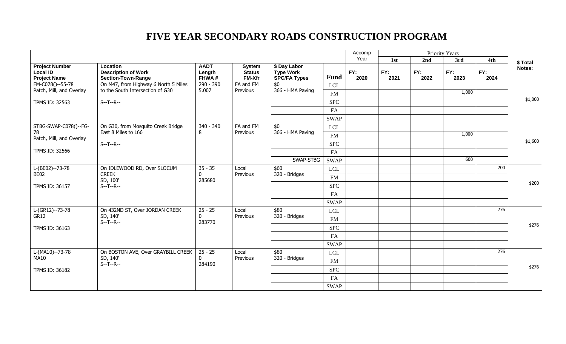|                                                                 |                                                                     |                                |                                                 |                                                         |             | Accomp      | Priority Years |             |             |                  |         |
|-----------------------------------------------------------------|---------------------------------------------------------------------|--------------------------------|-------------------------------------------------|---------------------------------------------------------|-------------|-------------|----------------|-------------|-------------|------------------|---------|
|                                                                 |                                                                     |                                |                                                 |                                                         |             | Year        | 1st            | 2nd         | 3rd         | 4th              | \$Total |
| <b>Project Number</b><br><b>Local ID</b><br><b>Project Name</b> | Location<br><b>Description of Work</b><br><b>Section-Town-Range</b> | <b>AADT</b><br>Length<br>FHWA# | <b>System</b><br><b>Status</b><br><b>FM-Xfr</b> | \$ Day Labor<br><b>Type Work</b><br><b>SPC/FA Types</b> | <b>Fund</b> | FY:<br>2020 | FY:<br>2021    | FY:<br>2022 | FY:<br>2023 | FY:<br>2024      | Notes:  |
| FM-C078()--55-78                                                | On M47, from Highway 6 North 5 Miles                                | 290 - 390                      | FA and FM                                       | \$0                                                     | <b>LCL</b>  |             |                |             |             |                  |         |
| Patch, Mill, and Overlay                                        | to the South Intersection of G30                                    | 5.007                          | Previous                                        | 366 - HMA Paving                                        | <b>FM</b>   |             |                |             | 1,000       |                  |         |
| TPMS ID: 32563                                                  | $S - T - R -$                                                       |                                |                                                 |                                                         | <b>SPC</b>  |             |                |             |             |                  | \$1,000 |
|                                                                 |                                                                     |                                |                                                 |                                                         | FA          |             |                |             |             |                  |         |
|                                                                 |                                                                     |                                |                                                 |                                                         | <b>SWAP</b> |             |                |             |             |                  |         |
| STBG-SWAP-C078()--FG-                                           | On G30, from Mosquito Creek Bridge                                  | 340 - 340                      | FA and FM                                       | \$0                                                     | <b>LCL</b>  |             |                |             |             |                  |         |
| 78                                                              | East 8 Miles to L66                                                 | 8                              | Previous                                        | 366 - HMA Paving                                        | <b>FM</b>   |             |                |             | 1,000       |                  |         |
| Patch, Mill, and Overlay                                        | $S - T - R -$                                                       |                                |                                                 |                                                         | <b>SPC</b>  |             |                |             |             |                  | \$1,600 |
| TPMS ID: 32566                                                  |                                                                     |                                |                                                 |                                                         | FA          |             |                |             |             |                  |         |
|                                                                 |                                                                     |                                | SWAP-STBG                                       | <b>SWAP</b>                                             |             |             |                | 600         |             |                  |         |
| L-(BE02)--73-78                                                 | On IDLEWOOD RD, Over SLOCUM                                         | $35 - 35$                      | Local                                           | \$60                                                    | <b>LCL</b>  |             |                |             |             | 200              |         |
| BE02                                                            | <b>CREEK</b>                                                        | $\mathbf{0}$                   | Previous                                        | 320 - Bridges                                           | <b>FM</b>   |             |                |             |             |                  |         |
| TPMS ID: 36157                                                  | SD, 100'<br>$S - T - R -$                                           | 285680                         |                                                 |                                                         | <b>SPC</b>  |             |                |             |             |                  | \$200   |
|                                                                 |                                                                     |                                |                                                 |                                                         | FA          |             |                |             |             |                  |         |
|                                                                 |                                                                     |                                |                                                 |                                                         | <b>SWAP</b> |             |                |             |             |                  |         |
| $L(GR12)-73-78$                                                 | On 432ND ST, Over JORDAN CREEK                                      | $25 - 25$                      | Local                                           | \$80                                                    | <b>LCL</b>  |             |                |             |             | $\overline{276}$ |         |
| GR12                                                            | SD, 140'                                                            | $\mathbf 0$                    | Previous                                        | 320 - Bridges                                           | FM          |             |                |             |             |                  |         |
| TPMS ID: 36163                                                  | $S - T - R -$                                                       | 283770                         |                                                 |                                                         | <b>SPC</b>  |             |                |             |             |                  | \$276   |
|                                                                 |                                                                     |                                |                                                 |                                                         | FA          |             |                |             |             |                  |         |
|                                                                 |                                                                     |                                |                                                 |                                                         | <b>SWAP</b> |             |                |             |             |                  |         |
| $L-(MA10)-73-78$                                                | On BOSTON AVE, Over GRAYBILL CREEK                                  | $25 - 25$                      | Local                                           | \$80                                                    | <b>LCL</b>  |             |                |             |             | 276              |         |
| <b>MA10</b>                                                     | SD, 140'                                                            | $\Omega$                       | Previous                                        | 320 - Bridges                                           | <b>FM</b>   |             |                |             |             |                  |         |
|                                                                 | $S - T - R -$                                                       | 284190                         |                                                 |                                                         | <b>SPC</b>  |             |                |             |             |                  | \$276   |
| TPMS ID: 36182                                                  |                                                                     |                                |                                                 |                                                         | FA          |             |                |             |             |                  |         |
|                                                                 |                                                                     |                                |                                                 |                                                         |             |             |                |             |             |                  |         |
|                                                                 |                                                                     |                                |                                                 |                                                         | <b>SWAP</b> |             |                |             |             |                  |         |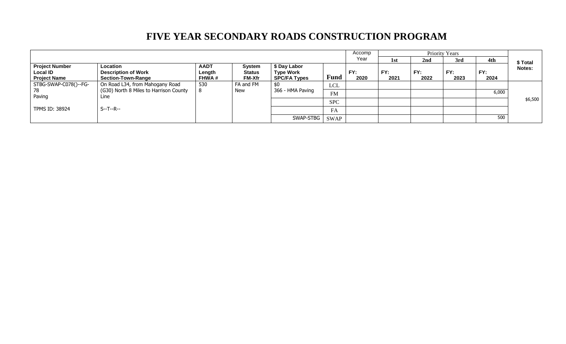|                                                                 |                                                                     |                                       |                                                 |                                                         |             |             | <b>Priority Years</b><br>Accomp |                 |             |             |         |
|-----------------------------------------------------------------|---------------------------------------------------------------------|---------------------------------------|-------------------------------------------------|---------------------------------------------------------|-------------|-------------|---------------------------------|-----------------|-------------|-------------|---------|
|                                                                 |                                                                     |                                       |                                                 |                                                         |             | Year        | 1st                             | 2 <sub>nd</sub> | 3rd         | 4th         | \$Total |
| <b>Project Number</b><br><b>Local ID</b><br><b>Project Name</b> | Location<br><b>Description of Work</b><br><b>Section-Town-Range</b> | <b>AADT</b><br>Length<br><b>FHWA#</b> | <b>System</b><br><b>Status</b><br><b>FM-Xfr</b> | \$ Day Labor<br><b>Type Work</b><br><b>SPC/FA Types</b> | <b>Fund</b> | FY:<br>2020 | FY:<br>2021                     | FY:<br>2022     | FY:<br>2023 | FY:<br>2024 | Notes:  |
| STBG-SWAP-C078()--FG-                                           | On Road L34, from Mahogany Road                                     | 530                                   | FA and FM                                       | \$0                                                     | LCL         |             |                                 |                 |             |             |         |
| 78                                                              | (G30) North 8 Miles to Harrison County                              |                                       | <b>New</b>                                      | 366 - HMA Paving                                        | <b>FM</b>   |             |                                 |                 |             | 6,000       |         |
| Paving                                                          | Line                                                                |                                       |                                                 |                                                         | <b>SPC</b>  |             |                                 |                 |             |             | \$6,500 |
| <b>TPMS ID: 38924</b>                                           | S--T--R--                                                           |                                       |                                                 |                                                         | FA          |             |                                 |                 |             |             |         |
|                                                                 |                                                                     |                                       |                                                 | SWAP-STBG                                               | <b>SWAP</b> |             |                                 |                 |             | 500         |         |